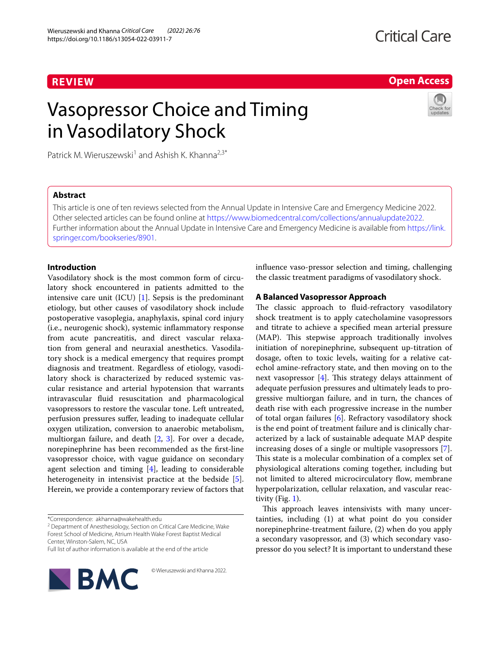## **REVIEW**

## **Critical Care**

**Open Access**

# Vasopressor Choice and Timing in Vasodilatory Shock

Patrick M. Wieruszewski<sup>1</sup> and Ashish K. Khanna<sup>2,3\*</sup>

## **Abstract**

This article is one of ten reviews selected from the Annual Update in Intensive Care and Emergency Medicine 2022. Other selected articles can be found online at <https://www.biomedcentral.com/collections/annualupdate2022>. Further information about the Annual Update in Intensive Care and Emergency Medicine is available from [https://link.](https://link.springer.com/bookseries/8901) [springer.com/bookseries/8901.](https://link.springer.com/bookseries/8901)

## **Introduction**

Vasodilatory shock is the most common form of circulatory shock encountered in patients admitted to the intensive care unit (ICU)  $[1]$  $[1]$ . Sepsis is the predominant etiology, but other causes of vasodilatory shock include postoperative vasoplegia, anaphylaxis, spinal cord injury (i.e., neurogenic shock), systemic inflammatory response from acute pancreatitis, and direct vascular relaxation from general and neuraxial anesthetics. Vasodilatory shock is a medical emergency that requires prompt diagnosis and treatment. Regardless of etiology, vasodilatory shock is characterized by reduced systemic vascular resistance and arterial hypotension that warrants intravascular fluid resuscitation and pharmacological vasopressors to restore the vascular tone. Left untreated, perfusion pressures suffer, leading to inadequate cellular oxygen utilization, conversion to anaerobic metabolism, multiorgan failure, and death [[2,](#page-6-1) [3\]](#page-6-2). For over a decade, norepinephrine has been recommended as the first-line vasopressor choice, with vague guidance on secondary agent selection and timing  $[4]$  $[4]$ , leading to considerable heterogeneity in intensivist practice at the bedside [\[5](#page-6-4)]. Herein, we provide a contemporary review of factors that

<sup>2</sup> Department of Anesthesiology, Section on Critical Care Medicine, Wake Forest School of Medicine, Atrium Health Wake Forest Baptist Medical Center, Winston‑Salem, NC, USA

© Wieruszewski and Khanna 2022.

Full list of author information is available at the end of the article



influence vaso-pressor selection and timing, challenging the classic treatment paradigms of vasodilatory shock.

### **A Balanced Vasopressor Approach**

The classic approach to fluid-refractory vasodilatory shock treatment is to apply catecholamine vasopressors and titrate to achieve a specified mean arterial pressure (MAP). This stepwise approach traditionally involves initiation of norepinephrine, subsequent up-titration of dosage, often to toxic levels, waiting for a relative catechol amine-refractory state, and then moving on to the next vasopressor [[4\]](#page-6-3). This strategy delays attainment of adequate perfusion pressures and ultimately leads to progressive multiorgan failure, and in turn, the chances of death rise with each progressive increase in the number of total organ failures [\[6](#page-6-5)]. Refractory vasodilatory shock is the end point of treatment failure and is clinically characterized by a lack of sustainable adequate MAP despite increasing doses of a single or multiple vasopressors [\[7](#page-6-6)]. This state is a molecular combination of a complex set of physiological alterations coming together, including but not limited to altered microcirculatory flow, membrane hyperpolarization, cellular relaxation, and vascular reactivity (Fig. [1](#page-1-0)).

This approach leaves intensivists with many uncertainties, including (1) at what point do you consider norepinephrine-treatment failure, (2) when do you apply a secondary vasopressor, and (3) which secondary vasopressor do you select? It is important to understand these

<sup>\*</sup>Correspondence: akhanna@wakehealth.edu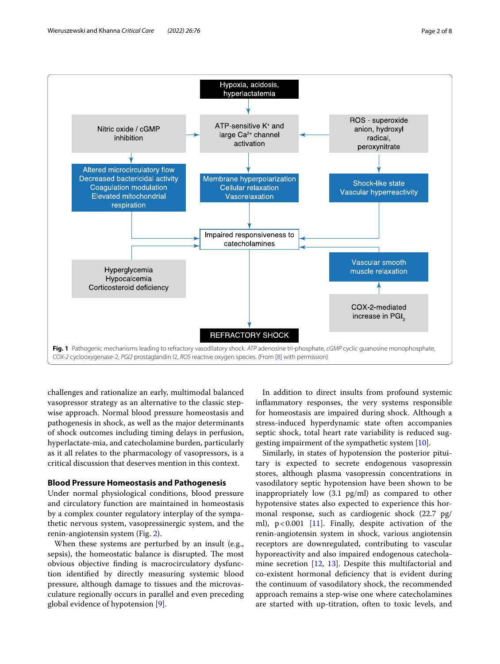

<span id="page-1-0"></span>challenges and rationalize an early, multimodal balanced vasopressor strategy as an alternative to the classic stepwise approach. Normal blood pressure homeostasis and pathogenesis in shock, as well as the major determinants of shock outcomes including timing delays in perfusion, hyperlactate-mia, and catecholamine burden, particularly as it all relates to the pharmacology of vasopressors, is a critical discussion that deserves mention in this context.

#### **Blood Pressure Homeostasis and Pathogenesis**

Under normal physiological conditions, blood pressure and circulatory function are maintained in homeostasis by a complex counter regulatory interplay of the sympathetic nervous system, vasopressinergic system, and the renin-angiotensin system (Fig. [2](#page-2-0)).

When these systems are perturbed by an insult (e.g., sepsis), the homeostatic balance is disrupted. The most obvious objective finding is macrocirculatory dysfunction identified by directly measuring systemic blood pressure, although damage to tissues and the microvasculature regionally occurs in parallel and even preceding global evidence of hypotension [\[9](#page-6-7)].

In addition to direct insults from profound systemic inflammatory responses, the very systems responsible for homeostasis are impaired during shock. Although a stress-induced hyperdynamic state often accompanies septic shock, total heart rate variability is reduced suggesting impairment of the sympathetic system [\[10\]](#page-6-8).

Similarly, in states of hypotension the posterior pituitary is expected to secrete endogenous vasopressin stores, although plasma vasopressin concentrations in vasodilatory septic hypotension have been shown to be inappropriately low (3.1 pg/ml) as compared to other hypotensive states also expected to experience this hormonal response, such as cardiogenic shock (22.7 pg/ ml),  $p < 0.001$  [[11\]](#page-6-9). Finally, despite activation of the renin-angiotensin system in shock, various angiotensin receptors are downregulated, contributing to vascular hyporeactivity and also impaired endogenous catecholamine secretion [\[12](#page-6-10), [13](#page-6-11)]. Despite this multifactorial and co-existent hormonal deficiency that is evident during the continuum of vasodilatory shock, the recommended approach remains a step-wise one where catecholamines are started with up-titration, often to toxic levels, and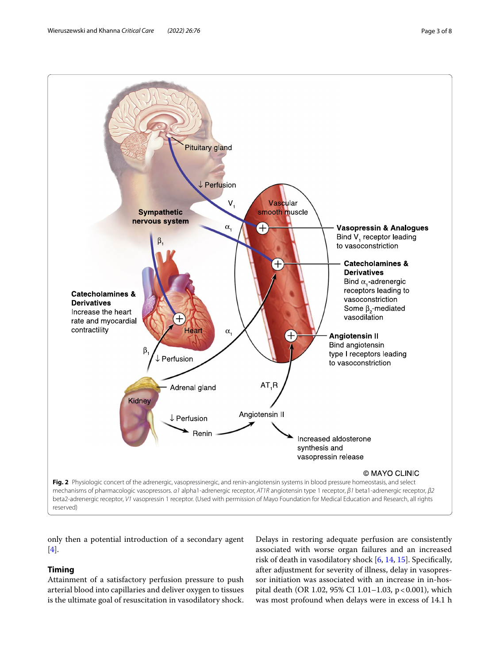

<span id="page-2-0"></span>reserved)

only then a potential introduction of a secondary agent [[4\]](#page-6-3).

## **Timing**

Attainment of a satisfactory perfusion pressure to push arterial blood into capillaries and deliver oxygen to tissues is the ultimate goal of resuscitation in vasodilatory shock.

Delays in restoring adequate perfusion are consistently associated with worse organ failures and an increased risk of death in vasodilatory shock [[6](#page-6-5), [14,](#page-6-13) [15](#page-6-14)]. Specifically, after adjustment for severity of illness, delay in vasopressor initiation was associated with an increase in in-hospital death (OR 1.02, 95% CI 1.01–1.03, p<0.001), which was most profound when delays were in excess of 14.1 h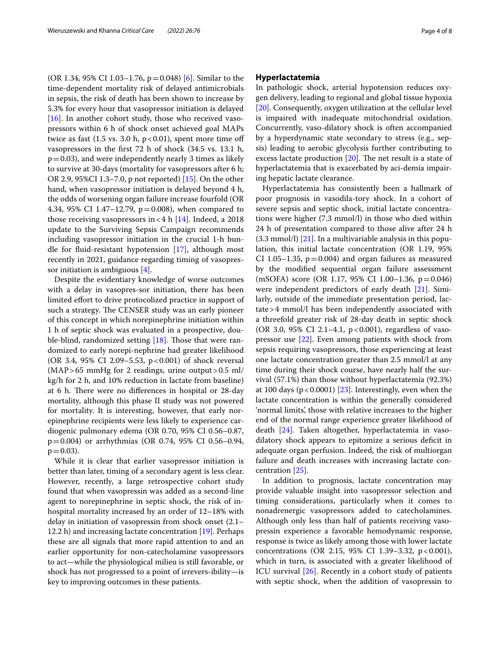(OR 1.34, 95% CI 1.03–1.7[6](#page-6-5),  $p = 0.048$ ) [6]. Similar to the time-dependent mortality risk of delayed antimicrobials in sepsis, the risk of death has been shown to increase by 5.3% for every hour that vasopressor initiation is delayed [[16\]](#page-6-15). In another cohort study, those who received vasopressors within 6 h of shock onset achieved goal MAPs twice as fast  $(1.5 \text{ vs. } 3.0 \text{ h}, p < 0.01)$ , spent more time off vasopressors in the first 72 h of shock (34.5 vs. 13.1 h,  $p=0.03$ ), and were independently nearly 3 times as likely to survive at 30-days (mortality for vasopressors after 6 h; OR 2.9, 95%CI 1.3–7.0, p not reported) [[15](#page-6-14)]. On the other hand, when vasopressor initiation is delayed beyond 4 h, the odds of worsening organ failure increase fourfold (OR 4.34, 95% CI 1.47–12.79,  $p=0.008$ ), when compared to those receiving vasopressors in <4 h  $[14]$  $[14]$ . Indeed, a 2018 update to the Surviving Sepsis Campaign recommends including vasopressor initiation in the crucial 1-h bundle for fluid-resistant hypotension [[17](#page-6-16)], although most recently in 2021, guidance regarding timing of vasopressor initiation is ambiguous [[4\]](#page-6-3).

Despite the evidentiary knowledge of worse outcomes with a delay in vasopres-sor initiation, there has been limited effort to drive protocolized practice in support of such a strategy. The CENSER study was an early pioneer of this concept in which norepinephrine initiation within 1 h of septic shock was evaluated in a prospective, dou-ble-blind, randomized setting [\[18](#page-6-17)]. Those that were randomized to early norepi-nephrine had greater likelihood (OR 3.4, 95% CI 2.09–5.53, p < 0.001) of shock reversal (MAP>65 mmHg for 2 readings, urine output>0.5 ml/ kg/h for 2 h, and 10% reduction in lactate from baseline) at 6 h. There were no differences in hospital or 28-day mortality, although this phase II study was not powered for mortality. It is interesting, however, that early norepinephrine recipients were less likely to experience cardiogenic pulmonary edema (OR 0.70, 95% CI 0.56–0.87, p=0.004) or arrhythmias (OR 0.74, 95% CI 0.56–0.94,  $p = 0.03$ ).

While it is clear that earlier vasopressor initiation is better than later, timing of a secondary agent is less clear. However, recently, a large retrospective cohort study found that when vasopressin was added as a second-line agent to norepinephrine in septic shock, the risk of inhospital mortality increased by an order of 12–18% with delay in initiation of vasopressin from shock onset (2.1– 12.2 h) and increasing lactate concentration [[19](#page-6-18)]. Perhaps these are all signals that more rapid attention to and an earlier opportunity for non-catecholamine vasopressors to act—while the physiological milieu is still favorable, or shock has not progressed to a point of irrevers-ibility—is key to improving outcomes in these patients.

#### **Hyperlactatemia**

In pathologic shock, arterial hypotension reduces oxygen delivery, leading to regional and global tissue hypoxia [[20\]](#page-6-19). Consequently, oxygen utilization at the cellular level is impaired with inadequate mitochondrial oxidation. Concurrently, vaso-dilatory shock is often accompanied by a hyperdynamic state secondary to stress (e.g., sepsis) leading to aerobic glycolysis further contributing to excess lactate production [\[20](#page-6-19)]. The net result is a state of hyperlactatemia that is exacerbated by aci-demia impairing hepatic lactate clearance.

Hyperlactatemia has consistently been a hallmark of poor prognosis in vasodila-tory shock. In a cohort of severe sepsis and septic shock, initial lactate concentrations were higher (7.3 mmol/l) in those who died within 24 h of presentation compared to those alive after 24 h  $(3.3 \text{ mmol/l})$  [\[21\]](#page-6-20). In a multivariable analysis in this population, this initial lactate concentration (OR 1.19, 95% CI 1.05–1.35,  $p=0.004$ ) and organ failures as measured by the modified sequential organ failure assessment (mSOFA) score (OR 1.17, 95% CI 1.00–1.36, p=0.046) were independent predictors of early death [[21\]](#page-6-20). Similarly, outside of the immediate presentation period, lactate>4 mmol/l has been independently associated with a threefold greater risk of 28-day death in septic shock (OR 3.0, 95% CI 2.1-4.1, p<0.001), regardless of vasopressor use [[22\]](#page-6-21). Even among patients with shock from sepsis requiring vasopressors, those experiencing at least one lactate concentration greater than 2.5 mmol/l at any time during their shock course, have nearly half the survival (57.1%) than those without hyperlactatemia (92.3%) at 100 days ( $p < 0.0001$ ) [\[23](#page-6-22)]. Interestingly, even when the lactate concentration is within the generally considered 'normal limits', those with relative increases to the higher end of the normal range experience greater likelihood of death [[24](#page-6-23)]. Taken altogether, hyperlactatemia in vasodilatory shock appears to epitomize a serious deficit in adequate organ perfusion. Indeed, the risk of multiorgan failure and death increases with increasing lactate concentration [\[25](#page-6-24)].

In addition to prognosis, lactate concentration may provide valuable insight into vasopressor selection and timing considerations, particularly when it comes to nonadrenergic vasopressors added to catecholamines. Although only less than half of patients receiving vasopressin experience a favorable hemodynamic response, response is twice as likely among those with lower lactate concentrations (OR 2.15, 95% CI 1.39-3.32, p < 0.001), which in turn, is associated with a greater likelihood of ICU survival [[26\]](#page-6-25). Recently in a cohort study of patients with septic shock, when the addition of vasopressin to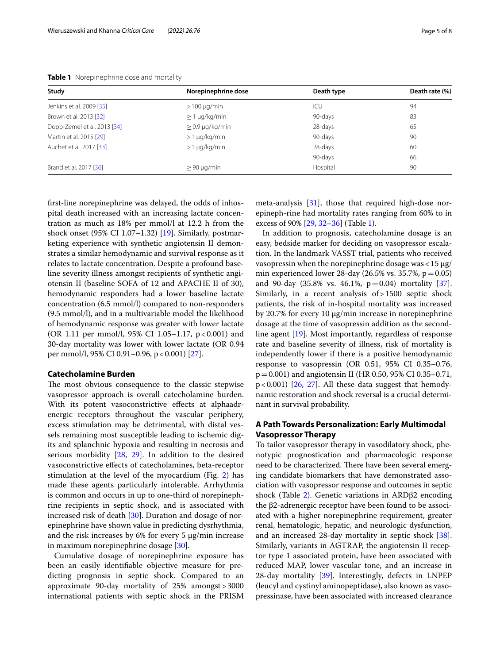| Study                       | Norepinephrine dose  | Death type | Death rate (%) |
|-----------------------------|----------------------|------------|----------------|
| Jenkins et al. 2009 [35]    | $>100 \mu q/min$     | ICU        | 94             |
| Brown et al. 2013 [32]      | $\geq$ 1 µg/kg/min   | 90-days    | 83             |
| Dopp-Zemel et al. 2013 [34] | $\geq$ 0.9 µg/kg/min | 28-days    | 65             |
| Martin et al. 2015 [29]     | $>1 \mu q/kg/min$    | 90-days    | 90             |
| Auchet et al. 2017 [33]     | $>1 \mu q/kg/min$    | 28-days    | 60             |
|                             |                      | 90-days    | 66             |
| Brand et al. 2017 [36]      | $> 90 \mu q/min$     | Hospital   | 90             |

<span id="page-4-0"></span>**Table 1** Norepinephrine dose and mortality

first-line norepinephrine was delayed, the odds of inhospital death increased with an increasing lactate concentration as much as 18% per mmol/l at 12.2 h from the shock onset (95% CI 1.07–1.32) [[19\]](#page-6-18). Similarly, postmarketing experience with synthetic angiotensin II demonstrates a similar hemodynamic and survival response as it relates to lactate concentration. Despite a profound baseline severity illness amongst recipients of synthetic angiotensin II (baseline SOFA of 12 and APACHE II of 30), hemodynamic responders had a lower baseline lactate concentration (6.5 mmol/l) compared to non-responders (9.5 mmol/l), and in a multivariable model the likelihood of hemodynamic response was greater with lower lactate (OR 1.11 per mmol/l,  $95\%$  CI 1.05–1.17, p<0.001) and 30-day mortality was lower with lower lactate (OR 0.94 per mmol/l, 95% CI 0.91–0.96, p < 0.001) [\[27\]](#page-6-26).

#### **Catecholamine Burden**

The most obvious consequence to the classic stepwise vasopressor approach is overall catecholamine burden. With its potent vasoconstrictive effects at alphaadrenergic receptors throughout the vascular periphery, excess stimulation may be detrimental, with distal vessels remaining most susceptible leading to ischemic digits and splanchnic hypoxia and resulting in necrosis and serious morbidity [\[28](#page-6-27), [29](#page-6-28)]. In addition to the desired vasoconstrictive effects of catecholamines, beta-receptor stimulation at the level of the myocardium (Fig. [2\)](#page-2-0) has made these agents particularly intolerable. Arrhythmia is common and occurs in up to one-third of norepinephrine recipients in septic shock, and is associated with increased risk of death [[30\]](#page-6-29). Duration and dosage of norepinephrine have shown value in predicting dysrhythmia, and the risk increases by 6% for every 5 μg/min increase in maximum norepinephrine dosage [[30\]](#page-6-29).

Cumulative dosage of norepinephrine exposure has been an easily identifiable objective measure for predicting prognosis in septic shock. Compared to an approximate 90-day mortality of 25% amongst>3000 international patients with septic shock in the PRISM meta-analysis [\[31](#page-7-0)], those that required high-dose norepineph-rine had mortality rates ranging from 60% to in excess of 90% [\[29,](#page-6-28) [32](#page-7-1)[–36](#page-7-2)] (Table [1](#page-4-0)).

In addition to prognosis, catecholamine dosage is an easy, bedside marker for deciding on vasopressor escalation. In the landmark VASST trial, patients who received vasopressin when the norepinephrine dosage was  $<$  15  $\mu$ g/ min experienced lower 28-day (26.5% vs. 35.7%,  $p = 0.05$ ) and 90-day (35.8% vs. 46.1%,  $p=0.04$ ) mortality [\[37](#page-7-3)]. Similarly, in a recent analysis of>1500 septic shock patients, the risk of in-hospital mortality was increased by 20.7% for every 10 µg/min increase in norepinephrine dosage at the time of vasopressin addition as the secondline agent [\[19](#page-6-18)]. Most importantly, regardless of response rate and baseline severity of illness, risk of mortality is independently lower if there is a positive hemodynamic response to vasopressin (OR 0.51, 95% CI 0.35–0.76, p=0.001) and angiotensin II (HR 0.50, 95% CI 0.35–0.71,  $p < 0.001$ ) [[26,](#page-6-25) [27\]](#page-6-26). All these data suggest that hemodynamic restoration and shock reversal is a crucial determinant in survival probability.

## **A Path Towards Personalization: Early Multimodal Vasopressor Therapy**

To tailor vasopressor therapy in vasodilatory shock, phenotypic prognostication and pharmacologic response need to be characterized. There have been several emerging candidate biomarkers that have demonstrated association with vasopressor response and outcomes in septic shock (Table [2](#page-5-0)). Genetic variations in ARDβ2 encoding the β2-adrenergic receptor have been found to be associated with a higher norepinephrine requirement, greater renal, hematologic, hepatic, and neurologic dysfunction, and an increased 28-day mortality in septic shock [\[38](#page-7-4)]. Similarly, variants in AGTRAP, the angiotensin II receptor type 1 associated protein, have been associated with reduced MAP, lower vascular tone, and an increase in 28-day mortality [\[39](#page-7-5)]. Interestingly, defects in LNPEP (leucyl and cystinyl aminopeptidase), also known as vasopressinase, have been associated with increased clearance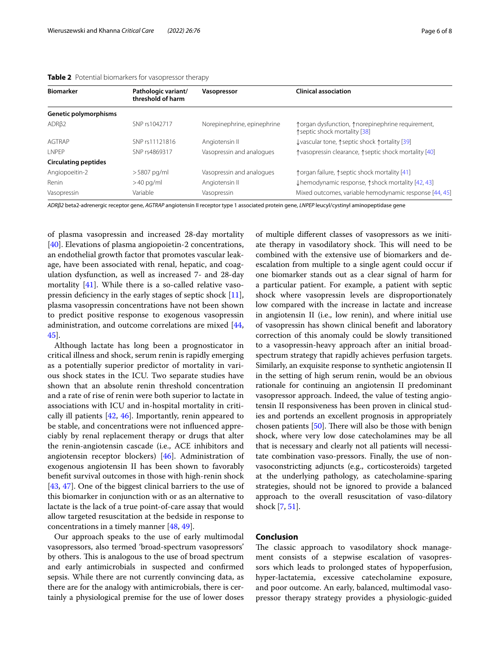| <b>Biomarker</b>            | Pathologic variant/<br>threshold of harm | Vasopressor                 | <b>Clinical association</b>                                                         |
|-----------------------------|------------------------------------------|-----------------------------|-------------------------------------------------------------------------------------|
| Genetic polymorphisms       |                                          |                             |                                                                                     |
| ADRB2                       | SNP rs1042717                            | Norepinephrine, epinephrine | ↑ organ dysfunction, ↑ norepinephrine requirement,<br>↑ septic shock mortality [38] |
| AGTRAP                      | SNP rs11121816                           | Angiotensin II              | ↓vascular tone, ↑septic shock ↑ortality [39]                                        |
| <b>INPFP</b>                | SNP rs4869317                            | Vasopressin and analogues   | ↑vasopressin clearance, ↑septic shock mortality [40]                                |
| <b>Circulating peptides</b> |                                          |                             |                                                                                     |
| Angiopoeitin-2              | $>$ 5807 pg/ml                           | Vasopressin and analogues   | ↑ organ failure, ↑ septic shock mortality [41]                                      |
| Renin                       | $>40$ pg/ml                              | Angiotensin II              | ↓hemodynamic response, ↑shock mortality [42, 43]                                    |
| Vasopressin                 | Variable                                 | Vasopressin                 | Mixed outcomes, variable hemodynamic response [44, 45]                              |

<span id="page-5-0"></span>

|  | Table 2 Potential biomarkers for vasopressor therapy |
|--|------------------------------------------------------|
|--|------------------------------------------------------|

*ADRβ2* beta2-adrenergic receptor gene, *AGTRAP* angiotensin II receptor type 1 associated protein gene, *LNPEP* leucyl/cystinyl aminopeptidase gene

of plasma vasopressin and increased 28-day mortality  $[40]$  $[40]$ . Elevations of plasma angiopoietin-2 concentrations, an endothelial growth factor that promotes vascular leakage, have been associated with renal, hepatic, and coagulation dysfunction, as well as increased 7- and 28-day mortality [[41\]](#page-7-10). While there is a so-called relative vasopressin deficiency in the early stages of septic shock [\[11](#page-6-9)], plasma vasopressin concentrations have not been shown to predict positive response to exogenous vasopressin administration, and outcome correlations are mixed [\[44](#page-7-11), [45\]](#page-7-12).

Although lactate has long been a prognosticator in critical illness and shock, serum renin is rapidly emerging as a potentially superior predictor of mortality in various shock states in the ICU. Two separate studies have shown that an absolute renin threshold concentration and a rate of rise of renin were both superior to lactate in associations with ICU and in-hospital mortality in critically ill patients [\[42](#page-7-13), [46\]](#page-7-14). Importantly, renin appeared to be stable, and concentrations were not influenced appreciably by renal replacement therapy or drugs that alter the renin-angiotensin cascade (i.e., ACE inhibitors and angiotensin receptor blockers) [\[46](#page-7-14)]. Administration of exogenous angiotensin II has been shown to favorably benefit survival outcomes in those with high-renin shock [[43,](#page-7-15) [47\]](#page-7-16). One of the biggest clinical barriers to the use of this biomarker in conjunction with or as an alternative to lactate is the lack of a true point-of-care assay that would allow targeted resuscitation at the bedside in response to concentrations in a timely manner [\[48,](#page-7-17) [49](#page-7-18)].

Our approach speaks to the use of early multimodal vasopressors, also termed 'broad-spectrum vasopressors' by others. This is analogous to the use of broad spectrum and early antimicrobials in suspected and confirmed sepsis. While there are not currently convincing data, as there are for the analogy with antimicrobials, there is certainly a physiological premise for the use of lower doses

of multiple different classes of vasopressors as we initiate therapy in vasodilatory shock. This will need to be combined with the extensive use of biomarkers and deescalation from multiple to a single agent could occur if one biomarker stands out as a clear signal of harm for a particular patient. For example, a patient with septic shock where vasopressin levels are disproportionately low compared with the increase in lactate and increase in angiotensin II (i.e., low renin), and where initial use of vasopressin has shown clinical benefit and laboratory correction of this anomaly could be slowly transitioned to a vasopressin-heavy approach after an initial broadspectrum strategy that rapidly achieves perfusion targets. Similarly, an exquisite response to synthetic angiotensin II in the setting of high serum renin, would be an obvious rationale for continuing an angiotensin II predominant vasopressor approach. Indeed, the value of testing angiotensin II responsiveness has been proven in clinical studies and portends an excellent prognosis in appropriately chosen patients [[50\]](#page-7-19). There will also be those with benign shock, where very low dose catecholamines may be all that is necessary and clearly not all patients will necessitate combination vaso-pressors. Finally, the use of nonvasoconstricting adjuncts (e.g., corticosteroids) targeted at the underlying pathology, as catecholamine-sparing strategies, should not be ignored to provide a balanced approach to the overall resuscitation of vaso-dilatory shock [[7](#page-6-6), [51\]](#page-7-20).

#### **Conclusion**

The classic approach to vasodilatory shock management consists of a stepwise escalation of vasopressors which leads to prolonged states of hypoperfusion, hyper-lactatemia, excessive catecholamine exposure, and poor outcome. An early, balanced, multimodal vasopressor therapy strategy provides a physiologic-guided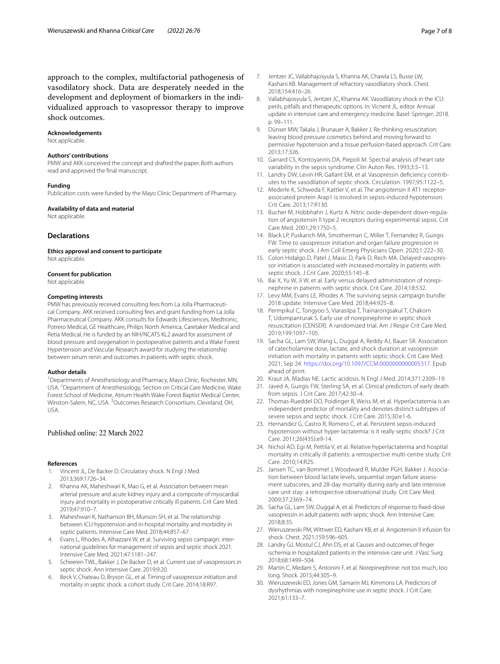approach to the complex, multifactorial pathogenesis of vasodilatory shock. Data are desperately needed in the development and deployment of biomarkers in the individualized approach to vasopressor therapy to improve shock outcomes.

#### **Acknowledgements**

Not applicable.

#### **Authors' contributions**

PMW and AKK conceived the concept and drafted the paper. Both authors read and approved the final manuscript.

#### **Funding**

Publication costs were funded by the Mayo Clinic Department of Pharmacy.

#### **Availability of data and material**

Not applicable.

#### **Declarations**

**Ethics approval and consent to participate** Not applicable.

#### **Consent for publication**

Not applicable.

#### **Competing interests**

PMW has previously received consulting fees from La Jolla Pharmaceutical Company. AKK received consulting fees and grant funding from La Jolla Pharmaceutical Company. AKK consults for Edwards Lifesciences, Medtronic, Potrero Medical, GE Healthcare, Philips North America, Caretaker Medical and Retia Medical. He is funded by an NIH/NCATS KL2 award for assessment of blood pressure and oxygenation in postoperative patients and a Wake Forest Hypertension and Vascular Research award for studying the relationship between serum renin and outcomes in patients with septic shock.

#### **Author details**

<sup>1</sup> Departments of Anesthesiology and Pharmacy, Mayo Clinic, Rochester, MN, USA.<sup>2</sup> Department of Anesthesiology, Section on Critical Care Medicine, Wake Forest School of Medicine, Atrium Health Wake Forest Baptist Medical Center, Winston-Salem, NC, USA. <sup>3</sup>Outcomes Research Consortium, Cleveland, OH, USA.

## Published online: 22 March 2022

#### **References**

- <span id="page-6-0"></span>1. Vincent JL, De Backer D. Circulatory shock. N Engl J Med. 2013;369:1726–34.
- <span id="page-6-1"></span>2. Khanna AK, Maheshwari K, Mao G, et al. Association between mean arterial pressure and acute kidney injury and a composite of myocardial injury and mortality in postoperative critically ill patients. Crit Care Med. 2019;47:910–7.
- <span id="page-6-2"></span>3. Maheshwari K, Nathanson BH, Munson SH, et al. The relationship between ICU hypotension and in-hospital mortality and morbidity in septic patients. Intensive Care Med. 2018;44:857–67.
- <span id="page-6-3"></span>4. Evans L, Rhodes A, Alhazzani W, et al. Surviving sepsis campaign: international guidelines for management of sepsis and septic shock 2021. Intensive Care Med. 2021;47:1181–247.
- <span id="page-6-4"></span>Scheeren TWL, Bakker J, De Backer D, et al. Current use of vasopressors in septic shock. Ann Intensive Care. 2019;9:20.
- <span id="page-6-5"></span>6. Beck V, Chateau D, Bryson GL, et al. Timing of vasopressor initiation and mortality in septic shock: a cohort study. Crit Care. 2014;18:R97.
- <span id="page-6-6"></span>7. Jentzer JC, Vallabhajosyula S, Khanna AK, Chawla LS, Busse LW, Kashani KB. Management of refractory vasodilatory shock. Chest. 2018;154:416–26.
- <span id="page-6-12"></span>8. Vallabhajosyula S, Jentzer JC, Khanna AK. Vasodilatory shock in the ICU: perils, pitfalls and therapeutic options. In: Vicnent JL, editor. Annual update in intensive care and emergency medicine. Basel: Springer; 2018. p. 99–111.
- <span id="page-6-7"></span>9. Dünser MW, Takala J, Brunauer A, Bakker J. Re-thinking resuscitation: leaving blood pressure cosmetics behind and moving forward to permissive hypotension and a tissue perfusion-based approach. Crit Care. 2013;17:326.
- <span id="page-6-8"></span>10. Garrard CS, Kontoyannis DA, Piepoli M. Spectral analysis of heart rate variability in the sepsis syndrome. Clin Auton Res. 1993;3:5–13.
- <span id="page-6-9"></span>11. Landry DW, Levin HR, Gallant EM, et al. Vasopressin deficiency contributes to the vasodilation of septic shock. Circulation. 1997;95:1122–5.
- <span id="page-6-10"></span>12. Mederle K, Schweda F, Kattler V, et al. The angiotensin II AT1 receptorassociated protein Arap1 is involved in sepsis-induced hypotension. Crit Care. 2013;17:R130.
- <span id="page-6-11"></span>13. Bucher M, Hobbhahn J, Kurtz A. Nitric oxide-dependent down-regulation of angiotensin II type 2 receptors during experimental sepsis. Crit Care Med. 2001;29:1750–5.
- <span id="page-6-13"></span>14. Black LP, Puskarich MA, Smotherman C, Miller T, Fernandez R, Guirgis FW. Time to vasopressor initiation and organ failure progression in early septic shock. J Am Coll Emerg Physicians Open. 2020;1:222–30.
- <span id="page-6-14"></span>15. Colon Hidalgo D, Patel J, Masic D, Park D, Rech MA. Delayed vasopressor initiation is associated with increased mortality in patients with septic shock. J Crit Care. 2020;55:145–8.
- <span id="page-6-15"></span>16. Bai X, Yu W, Ji W, et al. Early versus delayed administration of norepinephrine in patients with septic shock. Crit Care. 2014;18:532.
- <span id="page-6-16"></span>17. Levy MM, Evans LE, Rhodes A. The surviving sepsis campaign bundle: 2018 update. Intensive Care Med. 2018;44:925–8.
- <span id="page-6-17"></span>18. Permpikul C, Tongyoo S, Viarasilpa T, Trainarongsakul T, Chakorn T, Udompanturak S. Early use of norepinephrine in septic shock resuscitation (CENSER). A randomized trial. Am J Respir Crit Care Med. 2019;199:1097–105.
- <span id="page-6-18"></span>19. Sacha GL, Lam SW, Wang L, Duggal A, Reddy AJ, Bauer SR. Association of catecholamine dose, lactate, and shock duration at vasopressin initiation with mortality in patients with septic shock. Crit Care Med. 2021; Sep 24. [https://doi.org/10.1097/CCM.0000000000005317.](https://doi.org/10.1097/CCM.0000000000005317) Epub ahead of print.
- <span id="page-6-19"></span>20. Kraut JA, Madias NE. Lactic acidosis. N Engl J Med. 2014;371:2309–19.
- <span id="page-6-20"></span>21. Javed A, Guirgis FW, Sterling SA, et al. Clinical predictors of early death from sepsis. J Crit Care. 2017;42:30–4.
- <span id="page-6-21"></span>22. Thomas-Rueddel DO, Poidinger B, Weiss M, et al. Hyperlactatemia is an independent predictor of mortality and denotes distinct subtypes of severe sepsis and septic shock. J Crit Care. 2015;30:e1-6.
- <span id="page-6-22"></span>23. Hernandez G, Castro R, Romero C, et al. Persistent sepsis-induced hypotension without hyper-lactatemia: is it really septic shock? J Crit Care. 2011;26(435):e9-14.
- <span id="page-6-23"></span>24. Nichol AD, Egi M, Pettila V, et al. Relative hyperlactatemia and hospital mortality in critically ill patients: a retrospective multi-centre study. Crit Care. 2010;14:R25.
- <span id="page-6-24"></span>25. Jansen TC, van Bommel J, Woodward R, Mulder PGH, Bakker J. Association between blood lactate levels, sequential organ failure assessment subscores, and 28-day mortality during early and late intensive care unit stay: a retrospective observational study. Crit Care Med. 2009;37:2369–74.
- <span id="page-6-25"></span>26. Sacha GL, Lam SW, Duggal A, et al. Predictors of response to fixed-dose vasopressin in adult patients with septic shock. Ann Intensive Care. 2018;8:35.
- <span id="page-6-26"></span>27. Wieruszewski PM, Wittwer ED, Kashani KB, et al. Angiotensin II infusion for shock. Chest. 2021;159:596–605.
- <span id="page-6-27"></span>28. Landry GJ, Mostul CJ, Ahn DS, et al. Causes and outcomes of finger ischemia in hospitalized patients in the intensive care unit. J Vasc Surg. 2018;68:1499–504.
- <span id="page-6-28"></span>29. Martin C, Medam S, Antonini F, et al. Norepinephrine: not too much, too long. Shock. 2015;44:305–9.
- <span id="page-6-29"></span>30. Wieruszewski ED, Jones GM, Samarin MJ, Kimmons LA. Predictors of dysrhythmias with norepinephrine use in septic shock. J Crit Care. 2021;61:133–7.